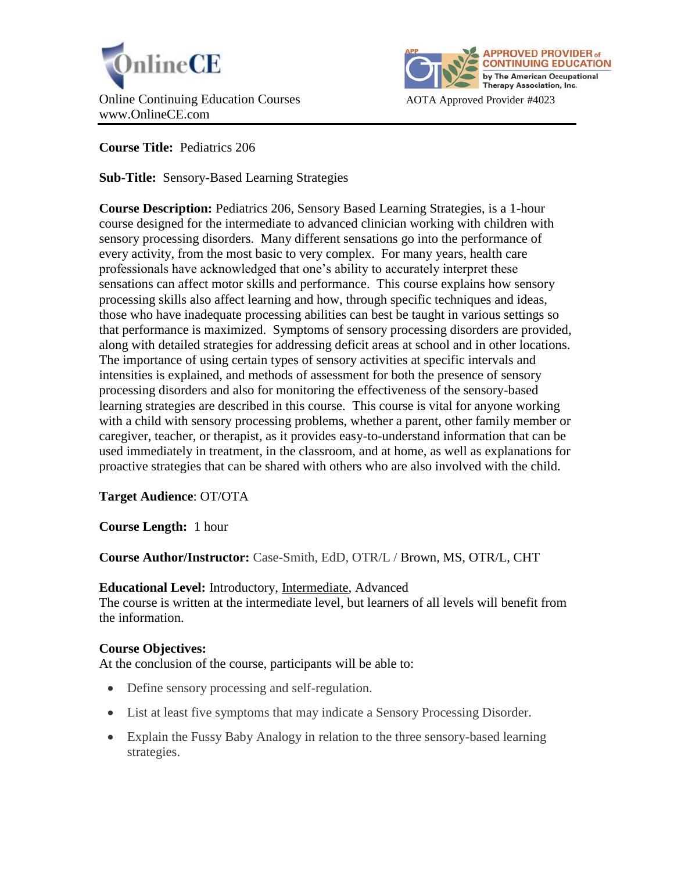



**Course Title:** Pediatrics 206

**Sub-Title:** Sensory-Based Learning Strategies

**Course Description:** Pediatrics 206, Sensory Based Learning Strategies, is a 1-hour course designed for the intermediate to advanced clinician working with children with sensory processing disorders. Many different sensations go into the performance of every activity, from the most basic to very complex. For many years, health care professionals have acknowledged that one's ability to accurately interpret these sensations can affect motor skills and performance. This course explains how sensory processing skills also affect learning and how, through specific techniques and ideas, those who have inadequate processing abilities can best be taught in various settings so that performance is maximized. Symptoms of sensory processing disorders are provided, along with detailed strategies for addressing deficit areas at school and in other locations. The importance of using certain types of sensory activities at specific intervals and intensities is explained, and methods of assessment for both the presence of sensory processing disorders and also for monitoring the effectiveness of the sensory-based learning strategies are described in this course. This course is vital for anyone working with a child with sensory processing problems, whether a parent, other family member or caregiver, teacher, or therapist, as it provides easy-to-understand information that can be used immediately in treatment, in the classroom, and at home, as well as explanations for proactive strategies that can be shared with others who are also involved with the child.

**Target Audience**: OT/OTA

**Course Length:** 1 hour

**Course Author/Instructor:** Case-Smith, EdD, OTR/L / Brown, MS, OTR/L, CHT

**Educational Level:** Introductory, Intermediate, Advanced

The course is written at the intermediate level, but learners of all levels will benefit from the information.

# **Course Objectives:**

At the conclusion of the course, participants will be able to:

- Define sensory processing and self-regulation.
- List at least five symptoms that may indicate a Sensory Processing Disorder.
- Explain the Fussy Baby Analogy in relation to the three sensory-based learning strategies.